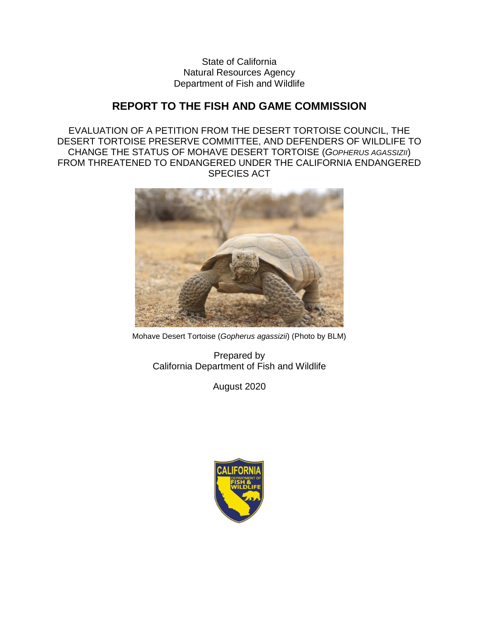State of California Natural Resources Agency Department of Fish and Wildlife

# **REPORT TO THE FISH AND GAME COMMISSION**

EVALUATION OF A PETITION FROM THE DESERT TORTOISE COUNCIL, THE DESERT TORTOISE PRESERVE COMMITTEE, AND DEFENDERS OF WILDLIFE TO CHANGE THE STATUS OF MOHAVE DESERT TORTOISE (*GOPHERUS AGASSIZII*) FROM THREATENED TO ENDANGERED UNDER THE CALIFORNIA ENDANGERED SPECIES ACT



Mohave Desert Tortoise (*Gopherus agassizii*) (Photo by BLM)

Prepared by California Department of Fish and Wildlife

August 2020

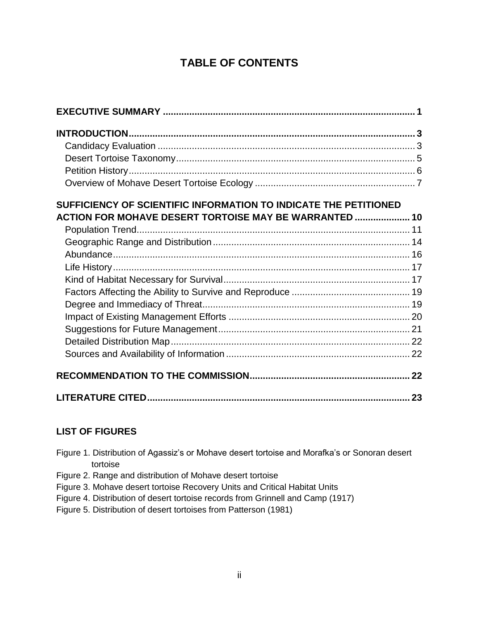# **TABLE OF CONTENTS**

| SUFFICIENCY OF SCIENTIFIC INFORMATION TO INDICATE THE PETITIONED |  |
|------------------------------------------------------------------|--|
| ACTION FOR MOHAVE DESERT TORTOISE MAY BE WARRANTED  10           |  |
|                                                                  |  |
|                                                                  |  |
|                                                                  |  |
|                                                                  |  |
|                                                                  |  |
|                                                                  |  |
|                                                                  |  |
|                                                                  |  |
|                                                                  |  |
|                                                                  |  |
|                                                                  |  |
|                                                                  |  |
|                                                                  |  |

## **LIST OF FIGURES**

- Figure 1. Distribution of Agassiz's or Mohave desert tortoise and Morafka's or Sonoran desert tortoise
- Figure 2. Range and distribution of Mohave desert tortoise
- Figure 3. Mohave desert tortoise Recovery Units and Critical Habitat Units
- Figure 4. Distribution of desert tortoise records from Grinnell and Camp (1917)
- Figure 5. Distribution of desert tortoises from Patterson (1981)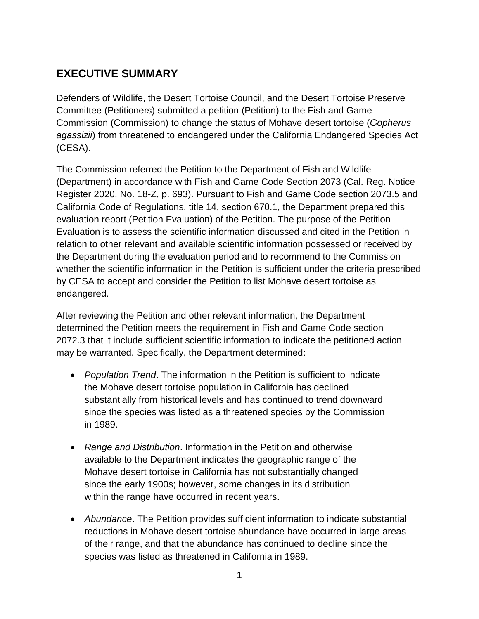# <span id="page-2-0"></span>**EXECUTIVE SUMMARY**

Defenders of Wildlife, the Desert Tortoise Council, and the Desert Tortoise Preserve Committee (Petitioners) submitted a petition (Petition) to the Fish and Game Commission (Commission) to change the status of Mohave desert tortoise (*Gopherus agassizii*) from threatened to endangered under the California Endangered Species Act (CESA).

The Commission referred the Petition to the Department of Fish and Wildlife (Department) in accordance with Fish and Game Code Section 2073 (Cal. Reg. Notice Register 2020, No. 18-Z, p. 693). Pursuant to Fish and Game Code section 2073.5 and California Code of Regulations, title 14, section 670.1, the Department prepared this evaluation report (Petition Evaluation) of the Petition. The purpose of the Petition Evaluation is to assess the scientific information discussed and cited in the Petition in relation to other relevant and available scientific information possessed or received by the Department during the evaluation period and to recommend to the Commission whether the scientific information in the Petition is sufficient under the criteria prescribed by CESA to accept and consider the Petition to list Mohave desert tortoise as endangered.

After reviewing the Petition and other relevant information, the Department determined the Petition meets the requirement in Fish and Game Code section 2072.3 that it include sufficient scientific information to indicate the petitioned action may be warranted. Specifically, the Department determined:

- *Population Trend*. The information in the Petition is sufficient to indicate the Mohave desert tortoise population in California has declined substantially from historical levels and has continued to trend downward since the species was listed as a threatened species by the Commission in 1989.
- *Range and Distribution*. Information in the Petition and otherwise available to the Department indicates the geographic range of the Mohave desert tortoise in California has not substantially changed since the early 1900s; however, some changes in its distribution within the range have occurred in recent years.
- *Abundance*. The Petition provides sufficient information to indicate substantial reductions in Mohave desert tortoise abundance have occurred in large areas of their range, and that the abundance has continued to decline since the species was listed as threatened in California in 1989.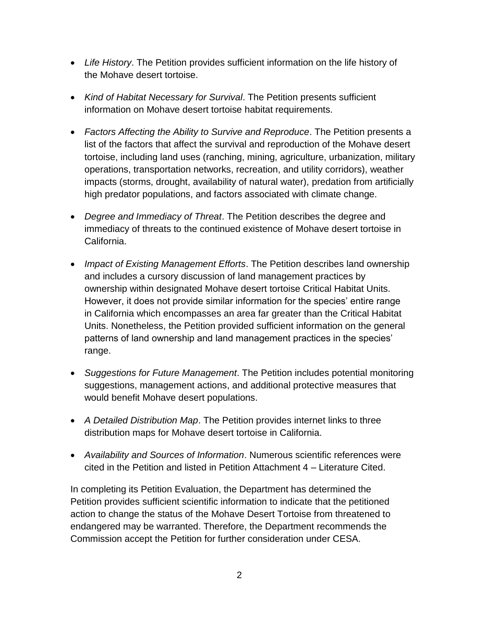- *Life History*. The Petition provides sufficient information on the life history of the Mohave desert tortoise.
- *Kind of Habitat Necessary for Survival*. The Petition presents sufficient information on Mohave desert tortoise habitat requirements.
- *Factors Affecting the Ability to Survive and Reproduce*. The Petition presents a list of the factors that affect the survival and reproduction of the Mohave desert tortoise, including land uses (ranching, mining, agriculture, urbanization, military operations, transportation networks, recreation, and utility corridors), weather impacts (storms, drought, availability of natural water), predation from artificially high predator populations, and factors associated with climate change.
- *Degree and Immediacy of Threat*. The Petition describes the degree and immediacy of threats to the continued existence of Mohave desert tortoise in California.
- *Impact of Existing Management Efforts*. The Petition describes land ownership and includes a cursory discussion of land management practices by ownership within designated Mohave desert tortoise Critical Habitat Units. However, it does not provide similar information for the species' entire range in California which encompasses an area far greater than the Critical Habitat Units. Nonetheless, the Petition provided sufficient information on the general patterns of land ownership and land management practices in the species' range.
- *Suggestions for Future Management*. The Petition includes potential monitoring suggestions, management actions, and additional protective measures that would benefit Mohave desert populations.
- *A Detailed Distribution Map*. The Petition provides internet links to three distribution maps for Mohave desert tortoise in California.
- *Availability and Sources of Information*. Numerous scientific references were cited in the Petition and listed in Petition Attachment 4 – Literature Cited.

In completing its Petition Evaluation, the Department has determined the Petition provides sufficient scientific information to indicate that the petitioned action to change the status of the Mohave Desert Tortoise from threatened to endangered may be warranted. Therefore, the Department recommends the Commission accept the Petition for further consideration under CESA.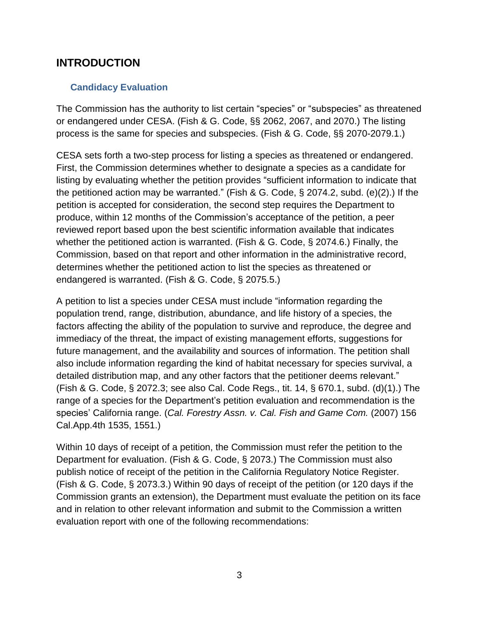## <span id="page-4-0"></span>**INTRODUCTION**

## <span id="page-4-1"></span>**Candidacy Evaluation**

The Commission has the authority to list certain "species" or "subspecies" as threatened or endangered under CESA. (Fish & G. Code, §§ 2062, 2067, and 2070.) The listing process is the same for species and subspecies. (Fish & G. Code, §§ 2070-2079.1.)

CESA sets forth a two-step process for listing a species as threatened or endangered. First, the Commission determines whether to designate a species as a candidate for listing by evaluating whether the petition provides "sufficient information to indicate that the petitioned action may be warranted." (Fish & G. Code, § 2074.2, subd. (e)(2).) If the petition is accepted for consideration, the second step requires the Department to produce, within 12 months of the Commission's acceptance of the petition, a peer reviewed report based upon the best scientific information available that indicates whether the petitioned action is warranted. (Fish & G. Code, § 2074.6.) Finally, the Commission, based on that report and other information in the administrative record, determines whether the petitioned action to list the species as threatened or endangered is warranted. (Fish & G. Code, § 2075.5.)

A petition to list a species under CESA must include "information regarding the population trend, range, distribution, abundance, and life history of a species, the factors affecting the ability of the population to survive and reproduce, the degree and immediacy of the threat, the impact of existing management efforts, suggestions for future management, and the availability and sources of information. The petition shall also include information regarding the kind of habitat necessary for species survival, a detailed distribution map, and any other factors that the petitioner deems relevant." (Fish & G. Code, § 2072.3; see also Cal. Code Regs., tit. 14, § 670.1, subd. (d)(1).) The range of a species for the Department's petition evaluation and recommendation is the species' California range. (*Cal. Forestry Assn. v. Cal. Fish and Game Com.* (2007) 156 Cal.App.4th 1535, 1551.)

Within 10 days of receipt of a petition, the Commission must refer the petition to the Department for evaluation. (Fish & G. Code, § 2073.) The Commission must also publish notice of receipt of the petition in the California Regulatory Notice Register. (Fish & G. Code, § 2073.3.) Within 90 days of receipt of the petition (or 120 days if the Commission grants an extension), the Department must evaluate the petition on its face and in relation to other relevant information and submit to the Commission a written evaluation report with one of the following recommendations: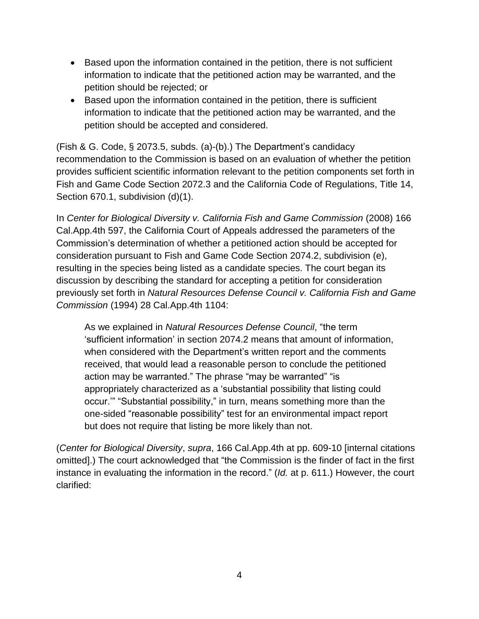- Based upon the information contained in the petition, there is not sufficient information to indicate that the petitioned action may be warranted, and the petition should be rejected; or
- Based upon the information contained in the petition, there is sufficient information to indicate that the petitioned action may be warranted, and the petition should be accepted and considered.

(Fish & G. Code, § 2073.5, subds. (a)-(b).) The Department's candidacy recommendation to the Commission is based on an evaluation of whether the petition provides sufficient scientific information relevant to the petition components set forth in Fish and Game Code Section 2072.3 and the California Code of Regulations, Title 14, Section 670.1, subdivision (d)(1).

In *Center for Biological Diversity v. California Fish and Game Commission* (2008) 166 Cal.App.4th 597, the California Court of Appeals addressed the parameters of the Commission's determination of whether a petitioned action should be accepted for consideration pursuant to Fish and Game Code Section 2074.2, subdivision (e), resulting in the species being listed as a candidate species. The court began its discussion by describing the standard for accepting a petition for consideration previously set forth in *Natural Resources Defense Council v. California Fish and Game Commission* (1994) 28 Cal.App.4th 1104:

As we explained in *Natural Resources Defense Council*, "the term 'sufficient information' in section 2074.2 means that amount of information, when considered with the Department's written report and the comments received, that would lead a reasonable person to conclude the petitioned action may be warranted." The phrase "may be warranted" "is appropriately characterized as a 'substantial possibility that listing could occur.'" "Substantial possibility," in turn, means something more than the one-sided "reasonable possibility" test for an environmental impact report but does not require that listing be more likely than not.

(*Center for Biological Diversity*, *supra*, 166 Cal.App.4th at pp. 609-10 [internal citations omitted].) The court acknowledged that "the Commission is the finder of fact in the first instance in evaluating the information in the record." (*Id.* at p. 611.) However, the court clarified: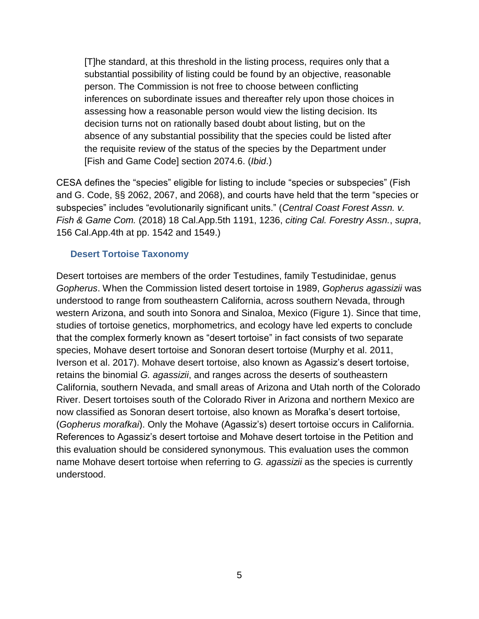[T]he standard, at this threshold in the listing process, requires only that a substantial possibility of listing could be found by an objective, reasonable person. The Commission is not free to choose between conflicting inferences on subordinate issues and thereafter rely upon those choices in assessing how a reasonable person would view the listing decision. Its decision turns not on rationally based doubt about listing, but on the absence of any substantial possibility that the species could be listed after the requisite review of the status of the species by the Department under [Fish and Game Code] section 2074.6. (*Ibid*.)

CESA defines the "species" eligible for listing to include "species or subspecies" (Fish and G. Code, §§ 2062, 2067, and 2068), and courts have held that the term "species or subspecies" includes "evolutionarily significant units." (*Central Coast Forest Assn. v. Fish & Game Com.* (2018) 18 Cal.App.5th 1191, 1236, *citing Cal. Forestry Assn.*, *supra*, 156 Cal.App.4th at pp. 1542 and 1549.)

#### <span id="page-6-0"></span>**Desert Tortoise Taxonomy**

Desert tortoises are members of the order Testudines, family Testudinidae, genus *Gopherus*. When the Commission listed desert tortoise in 1989, *Gopherus agassizii* was understood to range from southeastern California, across southern Nevada, through western Arizona, and south into Sonora and Sinaloa, Mexico (Figure 1). Since that time, studies of tortoise genetics, morphometrics, and ecology have led experts to conclude that the complex formerly known as "desert tortoise" in fact consists of two separate species, Mohave desert tortoise and Sonoran desert tortoise (Murphy et al. 2011, Iverson et al. 2017). Mohave desert tortoise, also known as Agassiz's desert tortoise, retains the binomial *G. agassizii*, and ranges across the deserts of southeastern California, southern Nevada, and small areas of Arizona and Utah north of the Colorado River. Desert tortoises south of the Colorado River in Arizona and northern Mexico are now classified as Sonoran desert tortoise, also known as Morafka's desert tortoise, (*Gopherus morafkai*). Only the Mohave (Agassiz's) desert tortoise occurs in California. References to Agassiz's desert tortoise and Mohave desert tortoise in the Petition and this evaluation should be considered synonymous. This evaluation uses the common name Mohave desert tortoise when referring to *G. agassizii* as the species is currently understood.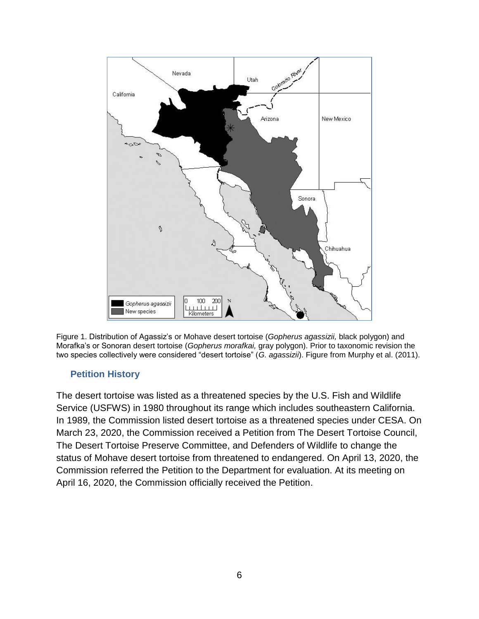

Figure 1. Distribution of Agassiz's or Mohave desert tortoise (*Gopherus agassizii,* black polygon) and Morafka's or Sonoran desert tortoise (*Gopherus morafkai,* gray polygon). Prior to taxonomic revision the two species collectively were considered "desert tortoise" (*G. agassizii*). Figure from Murphy et al. (2011).

#### <span id="page-7-0"></span>**Petition History**

The desert tortoise was listed as a threatened species by the U.S. Fish and Wildlife Service (USFWS) in 1980 throughout its range which includes southeastern California. In 1989, the Commission listed desert tortoise as a threatened species under CESA. On March 23, 2020, the Commission received a Petition from The Desert Tortoise Council, The Desert Tortoise Preserve Committee, and Defenders of Wildlife to change the status of Mohave desert tortoise from threatened to endangered. On April 13, 2020, the Commission referred the Petition to the Department for evaluation. At its meeting on April 16, 2020, the Commission officially received the Petition.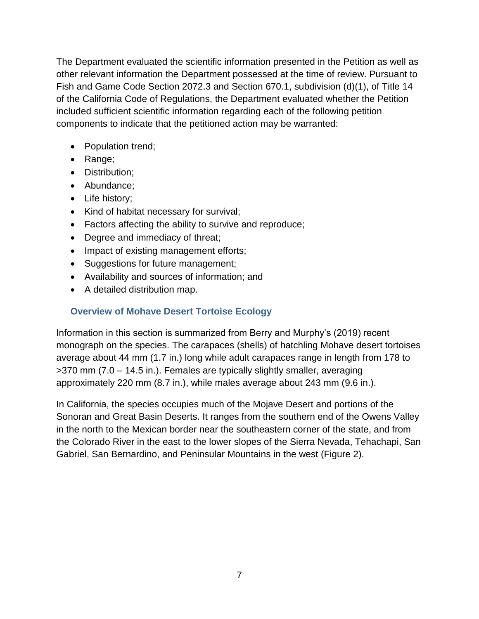The Department evaluated the scientific information presented in the Petition as well as other relevant information the Department possessed at the time of review. Pursuant to Fish and Game Code Section 2072.3 and Section 670.1, subdivision (d)(1), of Title 14 of the California Code of Regulations, the Department evaluated whether the Petition included sufficient scientific information regarding each of the following petition components to indicate that the petitioned action may be warranted:

- Population trend;
- Range;
- Distribution;
- Abundance;
- Life history;
- Kind of habitat necessary for survival;
- Factors affecting the ability to survive and reproduce;
- Degree and immediacy of threat;
- Impact of existing management efforts;
- Suggestions for future management;
- Availability and sources of information; and
- A detailed distribution map.

## <span id="page-8-0"></span>**Overview of Mohave Desert Tortoise Ecology**

Information in this section is summarized from Berry and Murphy's (2019) recent monograph on the species. The carapaces (shells) of hatchling Mohave desert tortoises average about 44 mm (1.7 in.) long while adult carapaces range in length from 178 to >370 mm (7.0 – 14.5 in.). Females are typically slightly smaller, averaging approximately 220 mm (8.7 in.), while males average about 243 mm (9.6 in.).

In California, the species occupies much of the Mojave Desert and portions of the Sonoran and Great Basin Deserts. It ranges from the southern end of the Owens Valley in the north to the Mexican border near the southeastern corner of the state, and from the Colorado River in the east to the lower slopes of the Sierra Nevada, Tehachapi, San Gabriel, San Bernardino, and Peninsular Mountains in the west (Figure 2).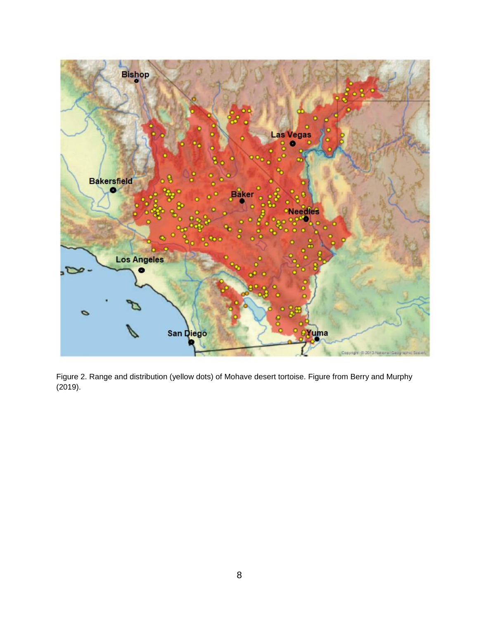

Figure 2. Range and distribution (yellow dots) of Mohave desert tortoise. Figure from Berry and Murphy (2019).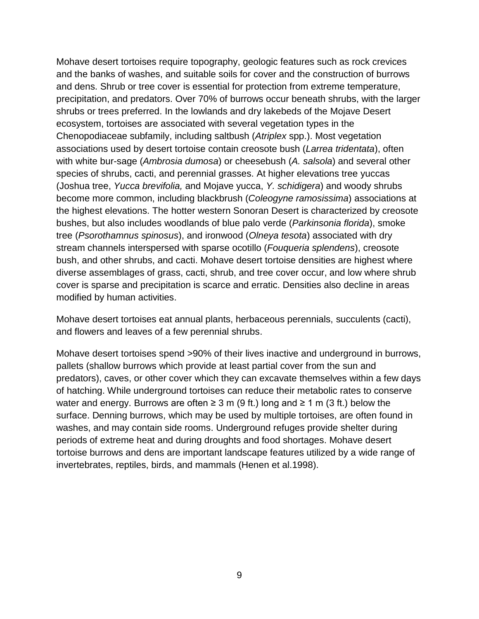Mohave desert tortoises require topography, geologic features such as rock crevices and the banks of washes, and suitable soils for cover and the construction of burrows and dens. Shrub or tree cover is essential for protection from extreme temperature, precipitation, and predators. Over 70% of burrows occur beneath shrubs, with the larger shrubs or trees preferred. In the lowlands and dry lakebeds of the Mojave Desert ecosystem, tortoises are associated with several vegetation types in the Chenopodiaceae subfamily, including saltbush (*Atriplex* spp.). Most vegetation associations used by desert tortoise contain creosote bush (*Larrea tridentata*), often with white bur-sage (*Ambrosia dumosa*) or cheesebush (*A. salsola*) and several other species of shrubs, cacti, and perennial grasses. At higher elevations tree yuccas (Joshua tree, *Yucca brevifolia,* and Mojave yucca, *Y. schidigera*) and woody shrubs become more common, including blackbrush (*Coleogyne ramosissima*) associations at the highest elevations. The hotter western Sonoran Desert is characterized by creosote bushes, but also includes woodlands of blue palo verde (*Parkinsonia florida*), smoke tree (*Psorothamnus spinosus*), and ironwood (*Olneya tesota*) associated with dry stream channels interspersed with sparse ocotillo (*Fouqueria splendens*), creosote bush, and other shrubs, and cacti. Mohave desert tortoise densities are highest where diverse assemblages of grass, cacti, shrub, and tree cover occur, and low where shrub cover is sparse and precipitation is scarce and erratic. Densities also decline in areas modified by human activities.

Mohave desert tortoises eat annual plants, herbaceous perennials, succulents (cacti), and flowers and leaves of a few perennial shrubs.

Mohave desert tortoises spend >90% of their lives inactive and underground in burrows, pallets (shallow burrows which provide at least partial cover from the sun and predators), caves, or other cover which they can excavate themselves within a few days of hatching. While underground tortoises can reduce their metabolic rates to conserve water and energy. Burrows are often  $\geq 3$  m (9 ft.) long and  $\geq 1$  m (3 ft.) below the surface. Denning burrows, which may be used by multiple tortoises, are often found in washes, and may contain side rooms. Underground refuges provide shelter during periods of extreme heat and during droughts and food shortages. Mohave desert tortoise burrows and dens are important landscape features utilized by a wide range of invertebrates, reptiles, birds, and mammals (Henen et al.1998).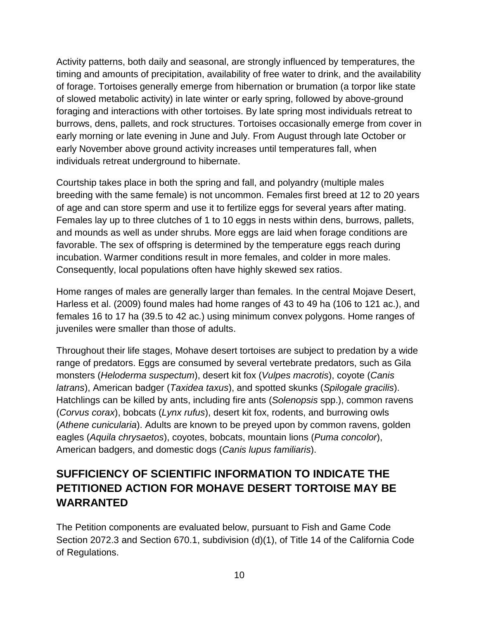Activity patterns, both daily and seasonal, are strongly influenced by temperatures, the timing and amounts of precipitation, availability of free water to drink, and the availability of forage. Tortoises generally emerge from hibernation or brumation (a torpor like state of slowed metabolic activity) in late winter or early spring, followed by above-ground foraging and interactions with other tortoises. By late spring most individuals retreat to burrows, dens, pallets, and rock structures. Tortoises occasionally emerge from cover in early morning or late evening in June and July. From August through late October or early November above ground activity increases until temperatures fall, when individuals retreat underground to hibernate.

Courtship takes place in both the spring and fall, and polyandry (multiple males breeding with the same female) is not uncommon. Females first breed at 12 to 20 years of age and can store sperm and use it to fertilize eggs for several years after mating. Females lay up to three clutches of 1 to 10 eggs in nests within dens, burrows, pallets, and mounds as well as under shrubs. More eggs are laid when forage conditions are favorable. The sex of offspring is determined by the temperature eggs reach during incubation. Warmer conditions result in more females, and colder in more males. Consequently, local populations often have highly skewed sex ratios.

Home ranges of males are generally larger than females. In the central Mojave Desert, Harless et al. (2009) found males had home ranges of 43 to 49 ha (106 to 121 ac.), and females 16 to 17 ha (39.5 to 42 ac.) using minimum convex polygons. Home ranges of juveniles were smaller than those of adults.

Throughout their life stages, Mohave desert tortoises are subject to predation by a wide range of predators. Eggs are consumed by several vertebrate predators, such as Gila monsters (*Heloderma suspectum*), desert kit fox (*Vulpes macrotis*), coyote (*Canis latrans*), American badger (*Taxidea taxus*), and spotted skunks (*Spilogale gracilis*). Hatchlings can be killed by ants, including fire ants (*Solenopsis* spp.), common ravens (*Corvus corax*), bobcats (*Lynx rufus*), desert kit fox, rodents, and burrowing owls (*Athene cunicularia*). Adults are known to be preyed upon by common ravens, golden eagles (*Aquila chrysaetos*), coyotes, bobcats, mountain lions (*Puma concolor*), American badgers, and domestic dogs (*Canis lupus familiaris*).

# <span id="page-11-0"></span>**SUFFICIENCY OF SCIENTIFIC INFORMATION TO INDICATE THE PETITIONED ACTION FOR MOHAVE DESERT TORTOISE MAY BE WARRANTED**

The Petition components are evaluated below, pursuant to Fish and Game Code Section 2072.3 and Section 670.1, subdivision (d)(1), of Title 14 of the California Code of Regulations.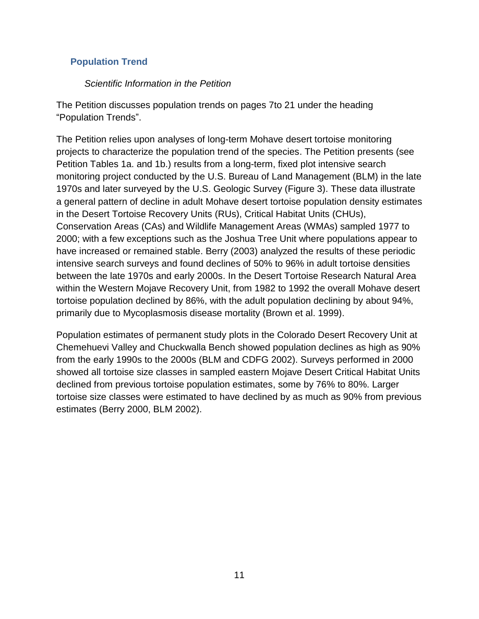## <span id="page-12-0"></span>**Population Trend**

#### *Scientific Information in the Petition*

The Petition discusses population trends on pages 7to 21 under the heading "Population Trends".

The Petition relies upon analyses of long-term Mohave desert tortoise monitoring projects to characterize the population trend of the species. The Petition presents (see Petition Tables 1a. and 1b.) results from a long-term, fixed plot intensive search monitoring project conducted by the U.S. Bureau of Land Management (BLM) in the late 1970s and later surveyed by the U.S. Geologic Survey (Figure 3). These data illustrate a general pattern of decline in adult Mohave desert tortoise population density estimates in the Desert Tortoise Recovery Units (RUs), Critical Habitat Units (CHUs), Conservation Areas (CAs) and Wildlife Management Areas (WMAs) sampled 1977 to 2000; with a few exceptions such as the Joshua Tree Unit where populations appear to have increased or remained stable. Berry (2003) analyzed the results of these periodic intensive search surveys and found declines of 50% to 96% in adult tortoise densities between the late 1970s and early 2000s. In the Desert Tortoise Research Natural Area within the Western Mojave Recovery Unit, from 1982 to 1992 the overall Mohave desert tortoise population declined by 86%, with the adult population declining by about 94%, primarily due to Mycoplasmosis disease mortality (Brown et al. 1999).

Population estimates of permanent study plots in the Colorado Desert Recovery Unit at Chemehuevi Valley and Chuckwalla Bench showed population declines as high as 90% from the early 1990s to the 2000s (BLM and CDFG 2002). Surveys performed in 2000 showed all tortoise size classes in sampled eastern Mojave Desert Critical Habitat Units declined from previous tortoise population estimates, some by 76% to 80%. Larger tortoise size classes were estimated to have declined by as much as 90% from previous estimates (Berry 2000, BLM 2002).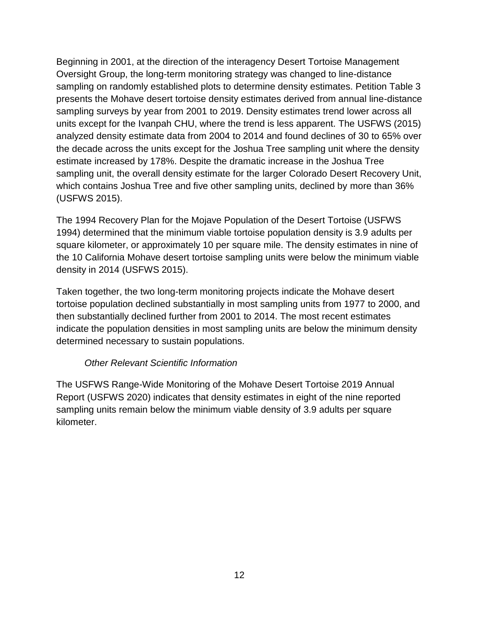Beginning in 2001, at the direction of the interagency Desert Tortoise Management Oversight Group, the long-term monitoring strategy was changed to line-distance sampling on randomly established plots to determine density estimates. Petition Table 3 presents the Mohave desert tortoise density estimates derived from annual line-distance sampling surveys by year from 2001 to 2019. Density estimates trend lower across all units except for the Ivanpah CHU, where the trend is less apparent. The USFWS (2015) analyzed density estimate data from 2004 to 2014 and found declines of 30 to 65% over the decade across the units except for the Joshua Tree sampling unit where the density estimate increased by 178%. Despite the dramatic increase in the Joshua Tree sampling unit, the overall density estimate for the larger Colorado Desert Recovery Unit, which contains Joshua Tree and five other sampling units, declined by more than 36% (USFWS 2015).

The 1994 Recovery Plan for the Mojave Population of the Desert Tortoise (USFWS 1994) determined that the minimum viable tortoise population density is 3.9 adults per square kilometer, or approximately 10 per square mile. The density estimates in nine of the 10 California Mohave desert tortoise sampling units were below the minimum viable density in 2014 (USFWS 2015).

Taken together, the two long-term monitoring projects indicate the Mohave desert tortoise population declined substantially in most sampling units from 1977 to 2000, and then substantially declined further from 2001 to 2014. The most recent estimates indicate the population densities in most sampling units are below the minimum density determined necessary to sustain populations.

## *Other Relevant Scientific Information*

The USFWS Range-Wide Monitoring of the Mohave Desert Tortoise 2019 Annual Report (USFWS 2020) indicates that density estimates in eight of the nine reported sampling units remain below the minimum viable density of 3.9 adults per square kilometer.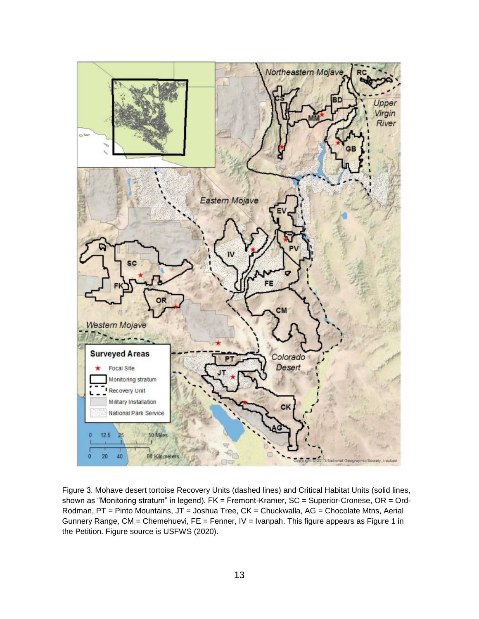

Figure 3. Mohave desert tortoise Recovery Units (dashed lines) and Critical Habitat Units (solid lines, shown as "Monitoring stratum" in legend). FK = Fremont-Kramer, SC = Superior-Cronese, OR = Ord-Rodman, PT = Pinto Mountains, JT = Joshua Tree, CK = Chuckwalla, AG = Chocolate Mtns, Aerial Gunnery Range, CM = Chemehuevi, FE = Fenner, IV = Ivanpah. This figure appears as Figure 1 in the Petition. Figure source is USFWS (2020).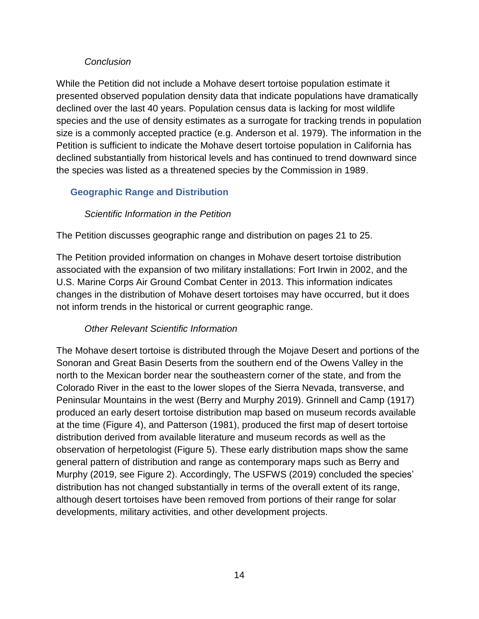## *Conclusion*

While the Petition did not include a Mohave desert tortoise population estimate it presented observed population density data that indicate populations have dramatically declined over the last 40 years. Population census data is lacking for most wildlife species and the use of density estimates as a surrogate for tracking trends in population size is a commonly accepted practice (e.g. Anderson et al. 1979). The information in the Petition is sufficient to indicate the Mohave desert tortoise population in California has declined substantially from historical levels and has continued to trend downward since the species was listed as a threatened species by the Commission in 1989.

## <span id="page-15-0"></span>**Geographic Range and Distribution**

## *Scientific Information in the Petition*

The Petition discusses geographic range and distribution on pages 21 to 25.

The Petition provided information on changes in Mohave desert tortoise distribution associated with the expansion of two military installations: Fort Irwin in 2002, and the U.S. Marine Corps Air Ground Combat Center in 2013. This information indicates changes in the distribution of Mohave desert tortoises may have occurred, but it does not inform trends in the historical or current geographic range.

## *Other Relevant Scientific Information*

The Mohave desert tortoise is distributed through the Mojave Desert and portions of the Sonoran and Great Basin Deserts from the southern end of the Owens Valley in the north to the Mexican border near the southeastern corner of the state, and from the Colorado River in the east to the lower slopes of the Sierra Nevada, transverse, and Peninsular Mountains in the west (Berry and Murphy 2019). Grinnell and Camp (1917) produced an early desert tortoise distribution map based on museum records available at the time (Figure 4), and Patterson (1981), produced the first map of desert tortoise distribution derived from available literature and museum records as well as the observation of herpetologist (Figure 5). These early distribution maps show the same general pattern of distribution and range as contemporary maps such as Berry and Murphy (2019, see Figure 2). Accordingly, The USFWS (2019) concluded the species' distribution has not changed substantially in terms of the overall extent of its range, although desert tortoises have been removed from portions of their range for solar developments, military activities, and other development projects.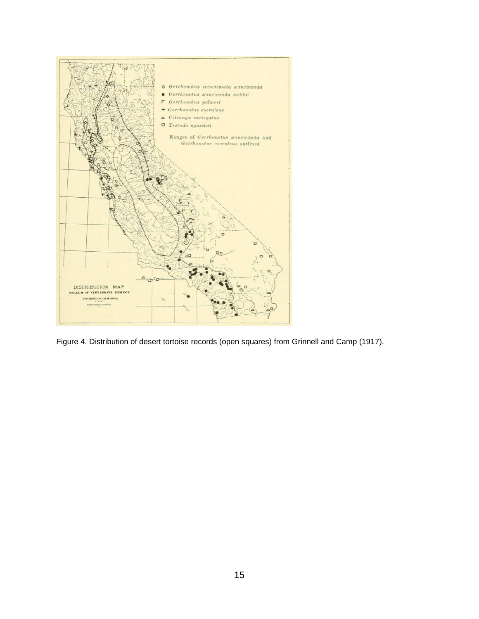

Figure 4. Distribution of desert tortoise records (open squares) from Grinnell and Camp (1917).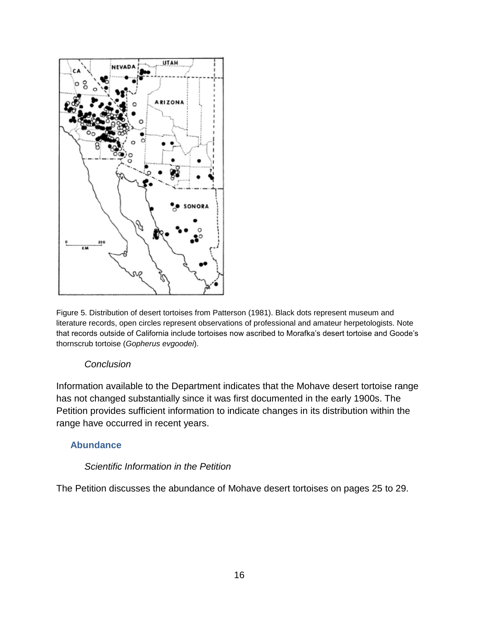

Figure 5. Distribution of desert tortoises from Patterson (1981). Black dots represent museum and literature records, open circles represent observations of professional and amateur herpetologists. Note that records outside of California include tortoises now ascribed to Morafka's desert tortoise and Goode's thornscrub tortoise (*Gopherus evgoodei*).

#### *Conclusion*

Information available to the Department indicates that the Mohave desert tortoise range has not changed substantially since it was first documented in the early 1900s. The Petition provides sufficient information to indicate changes in its distribution within the range have occurred in recent years.

#### <span id="page-17-0"></span>**Abundance**

#### *Scientific Information in the Petition*

The Petition discusses the abundance of Mohave desert tortoises on pages 25 to 29.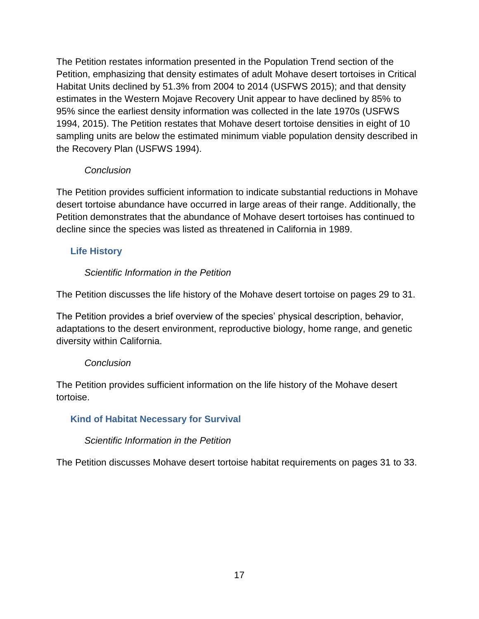The Petition restates information presented in the Population Trend section of the Petition, emphasizing that density estimates of adult Mohave desert tortoises in Critical Habitat Units declined by 51.3% from 2004 to 2014 (USFWS 2015); and that density estimates in the Western Mojave Recovery Unit appear to have declined by 85% to 95% since the earliest density information was collected in the late 1970s (USFWS 1994, 2015). The Petition restates that Mohave desert tortoise densities in eight of 10 sampling units are below the estimated minimum viable population density described in the Recovery Plan (USFWS 1994).

## *Conclusion*

The Petition provides sufficient information to indicate substantial reductions in Mohave desert tortoise abundance have occurred in large areas of their range. Additionally, the Petition demonstrates that the abundance of Mohave desert tortoises has continued to decline since the species was listed as threatened in California in 1989.

## <span id="page-18-0"></span>**Life History**

## *Scientific Information in the Petition*

The Petition discusses the life history of the Mohave desert tortoise on pages 29 to 31.

The Petition provides a brief overview of the species' physical description, behavior, adaptations to the desert environment, reproductive biology, home range, and genetic diversity within California.

## *Conclusion*

The Petition provides sufficient information on the life history of the Mohave desert tortoise.

## <span id="page-18-1"></span>**Kind of Habitat Necessary for Survival**

## *Scientific Information in the Petition*

The Petition discusses Mohave desert tortoise habitat requirements on pages 31 to 33.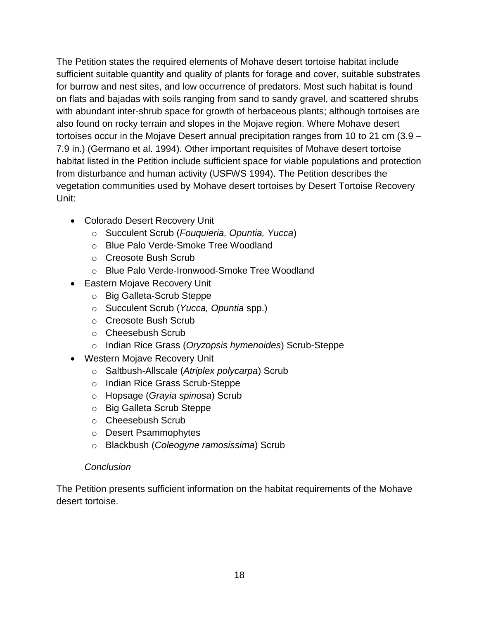The Petition states the required elements of Mohave desert tortoise habitat include sufficient suitable quantity and quality of plants for forage and cover, suitable substrates for burrow and nest sites, and low occurrence of predators. Most such habitat is found on flats and bajadas with soils ranging from sand to sandy gravel, and scattered shrubs with abundant inter-shrub space for growth of herbaceous plants; although tortoises are also found on rocky terrain and slopes in the Mojave region. Where Mohave desert tortoises occur in the Mojave Desert annual precipitation ranges from 10 to 21 cm (3.9 – 7.9 in.) (Germano et al. 1994). Other important requisites of Mohave desert tortoise habitat listed in the Petition include sufficient space for viable populations and protection from disturbance and human activity (USFWS 1994). The Petition describes the vegetation communities used by Mohave desert tortoises by Desert Tortoise Recovery Unit:

- Colorado Desert Recovery Unit
	- o Succulent Scrub (*Fouquieria, Opuntia, Yucca*)
	- o Blue Palo Verde-Smoke Tree Woodland
	- o Creosote Bush Scrub
	- o Blue Palo Verde-Ironwood-Smoke Tree Woodland
- Eastern Mojave Recovery Unit
	- o Big Galleta-Scrub Steppe
	- o Succulent Scrub (*Yucca, Opuntia* spp.)
	- o Creosote Bush Scrub
	- o Cheesebush Scrub
	- o Indian Rice Grass (*Oryzopsis hymenoides*) Scrub-Steppe
- Western Mojave Recovery Unit
	- o Saltbush-Allscale (*Atriplex polycarpa*) Scrub
	- o Indian Rice Grass Scrub-Steppe
	- o Hopsage (*Grayia spinosa*) Scrub
	- o Big Galleta Scrub Steppe
	- o Cheesebush Scrub
	- o Desert Psammophytes
	- o Blackbush (*Coleogyne ramosissima*) Scrub

#### *Conclusion*

The Petition presents sufficient information on the habitat requirements of the Mohave desert tortoise.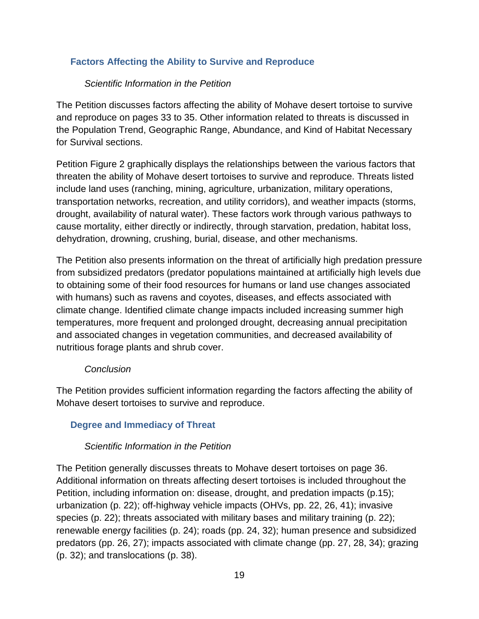## <span id="page-20-0"></span>**Factors Affecting the Ability to Survive and Reproduce**

#### *Scientific Information in the Petition*

The Petition discusses factors affecting the ability of Mohave desert tortoise to survive and reproduce on pages 33 to 35. Other information related to threats is discussed in the Population Trend, Geographic Range, Abundance, and Kind of Habitat Necessary for Survival sections.

Petition Figure 2 graphically displays the relationships between the various factors that threaten the ability of Mohave desert tortoises to survive and reproduce. Threats listed include land uses (ranching, mining, agriculture, urbanization, military operations, transportation networks, recreation, and utility corridors), and weather impacts (storms, drought, availability of natural water). These factors work through various pathways to cause mortality, either directly or indirectly, through starvation, predation, habitat loss, dehydration, drowning, crushing, burial, disease, and other mechanisms.

The Petition also presents information on the threat of artificially high predation pressure from subsidized predators (predator populations maintained at artificially high levels due to obtaining some of their food resources for humans or land use changes associated with humans) such as ravens and coyotes, diseases, and effects associated with climate change. Identified climate change impacts included increasing summer high temperatures, more frequent and prolonged drought, decreasing annual precipitation and associated changes in vegetation communities, and decreased availability of nutritious forage plants and shrub cover.

#### *Conclusion*

The Petition provides sufficient information regarding the factors affecting the ability of Mohave desert tortoises to survive and reproduce.

## <span id="page-20-1"></span>**Degree and Immediacy of Threat**

#### *Scientific Information in the Petition*

The Petition generally discusses threats to Mohave desert tortoises on page 36. Additional information on threats affecting desert tortoises is included throughout the Petition, including information on: disease, drought, and predation impacts (p.15); urbanization (p. 22); off-highway vehicle impacts (OHVs, pp. 22, 26, 41); invasive species (p. 22); threats associated with military bases and military training (p. 22); renewable energy facilities (p. 24); roads (pp. 24, 32); human presence and subsidized predators (pp. 26, 27); impacts associated with climate change (pp. 27, 28, 34); grazing (p. 32); and translocations (p. 38).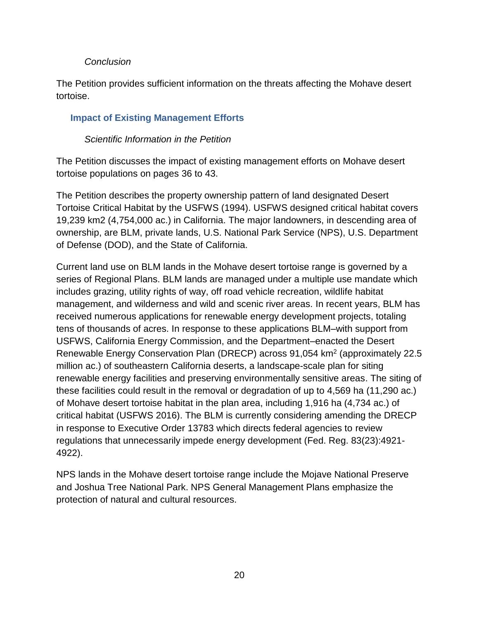#### *Conclusion*

The Petition provides sufficient information on the threats affecting the Mohave desert tortoise.

## <span id="page-21-0"></span>**Impact of Existing Management Efforts**

#### *Scientific Information in the Petition*

The Petition discusses the impact of existing management efforts on Mohave desert tortoise populations on pages 36 to 43.

The Petition describes the property ownership pattern of land designated Desert Tortoise Critical Habitat by the USFWS (1994). USFWS designed critical habitat covers 19,239 km2 (4,754,000 ac.) in California. The major landowners, in descending area of ownership, are BLM, private lands, U.S. National Park Service (NPS), U.S. Department of Defense (DOD), and the State of California.

Current land use on BLM lands in the Mohave desert tortoise range is governed by a series of Regional Plans. BLM lands are managed under a multiple use mandate which includes grazing, utility rights of way, off road vehicle recreation, wildlife habitat management, and wilderness and wild and scenic river areas. In recent years, BLM has received numerous applications for renewable energy development projects, totaling tens of thousands of acres. In response to these applications BLM–with support from USFWS, California Energy Commission, and the Department–enacted the Desert Renewable Energy Conservation Plan (DRECP) across 91,054 km<sup>2</sup> (approximately 22.5 million ac.) of southeastern California deserts, a landscape-scale plan for siting renewable energy facilities and preserving environmentally sensitive areas. The siting of these facilities could result in the removal or degradation of up to 4,569 ha (11,290 ac.) of Mohave desert tortoise habitat in the plan area, including 1,916 ha (4,734 ac.) of critical habitat (USFWS 2016). The BLM is currently considering amending the DRECP in response to Executive Order 13783 which directs federal agencies to review regulations that unnecessarily impede energy development (Fed. Reg. 83(23):4921- 4922).

NPS lands in the Mohave desert tortoise range include the Mojave National Preserve and Joshua Tree National Park. NPS General Management Plans emphasize the protection of natural and cultural resources.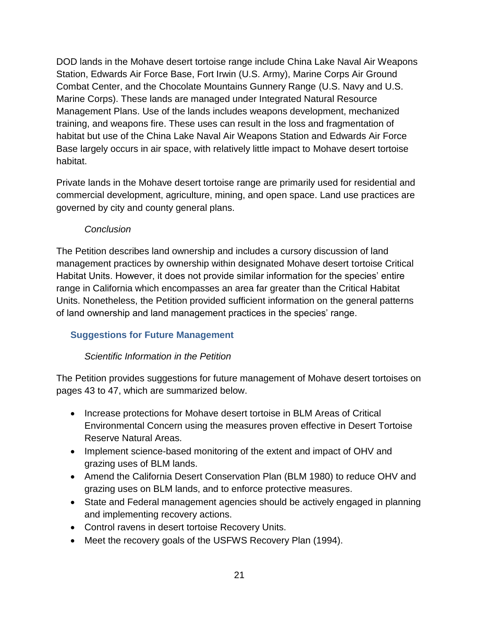DOD lands in the Mohave desert tortoise range include China Lake Naval Air Weapons Station, Edwards Air Force Base, Fort Irwin (U.S. Army), Marine Corps Air Ground Combat Center, and the Chocolate Mountains Gunnery Range (U.S. Navy and U.S. Marine Corps). These lands are managed under Integrated Natural Resource Management Plans. Use of the lands includes weapons development, mechanized training, and weapons fire. These uses can result in the loss and fragmentation of habitat but use of the China Lake Naval Air Weapons Station and Edwards Air Force Base largely occurs in air space, with relatively little impact to Mohave desert tortoise habitat.

Private lands in the Mohave desert tortoise range are primarily used for residential and commercial development, agriculture, mining, and open space. Land use practices are governed by city and county general plans.

#### *Conclusion*

The Petition describes land ownership and includes a cursory discussion of land management practices by ownership within designated Mohave desert tortoise Critical Habitat Units. However, it does not provide similar information for the species' entire range in California which encompasses an area far greater than the Critical Habitat Units. Nonetheless, the Petition provided sufficient information on the general patterns of land ownership and land management practices in the species' range.

## <span id="page-22-0"></span>**Suggestions for Future Management**

## *Scientific Information in the Petition*

The Petition provides suggestions for future management of Mohave desert tortoises on pages 43 to 47, which are summarized below.

- Increase protections for Mohave desert tortoise in BLM Areas of Critical Environmental Concern using the measures proven effective in Desert Tortoise Reserve Natural Areas.
- Implement science-based monitoring of the extent and impact of OHV and grazing uses of BLM lands.
- Amend the California Desert Conservation Plan (BLM 1980) to reduce OHV and grazing uses on BLM lands, and to enforce protective measures.
- State and Federal management agencies should be actively engaged in planning and implementing recovery actions.
- Control ravens in desert tortoise Recovery Units.
- Meet the recovery goals of the USFWS Recovery Plan (1994).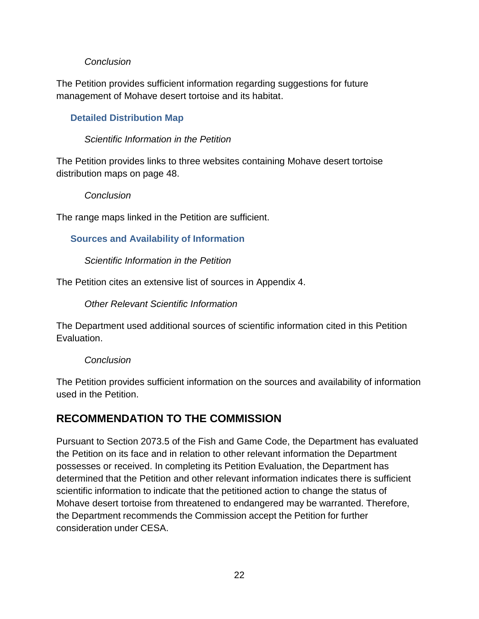## *Conclusion*

The Petition provides sufficient information regarding suggestions for future management of Mohave desert tortoise and its habitat.

## <span id="page-23-0"></span>**Detailed Distribution Map**

#### *Scientific Information in the Petition*

The Petition provides links to three websites containing Mohave desert tortoise distribution maps on page 48.

#### *Conclusion*

The range maps linked in the Petition are sufficient.

## <span id="page-23-1"></span>**Sources and Availability of Information**

#### *Scientific Information in the Petition*

The Petition cites an extensive list of sources in Appendix 4.

*Other Relevant Scientific Information*

The Department used additional sources of scientific information cited in this Petition Evaluation.

#### *Conclusion*

The Petition provides sufficient information on the sources and availability of information used in the Petition.

# <span id="page-23-2"></span>**RECOMMENDATION TO THE COMMISSION**

Pursuant to Section 2073.5 of the Fish and Game Code, the Department has evaluated the Petition on its face and in relation to other relevant information the Department possesses or received. In completing its Petition Evaluation, the Department has determined that the Petition and other relevant information indicates there is sufficient scientific information to indicate that the petitioned action to change the status of Mohave desert tortoise from threatened to endangered may be warranted. Therefore, the Department recommends the Commission accept the Petition for further consideration under CESA.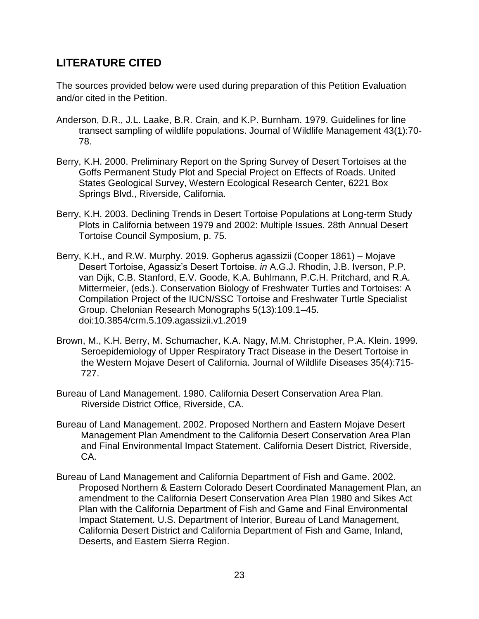# <span id="page-24-0"></span>**LITERATURE CITED**

The sources provided below were used during preparation of this Petition Evaluation and/or cited in the Petition.

- Anderson, D.R., J.L. Laake, B.R. Crain, and K.P. Burnham. 1979. Guidelines for line transect sampling of wildlife populations. Journal of Wildlife Management 43(1):70- 78.
- Berry, K.H. 2000. Preliminary Report on the Spring Survey of Desert Tortoises at the Goffs Permanent Study Plot and Special Project on Effects of Roads. United States Geological Survey, Western Ecological Research Center, 6221 Box Springs Blvd., Riverside, California.
- Berry, K.H. 2003. Declining Trends in Desert Tortoise Populations at Long-term Study Plots in California between 1979 and 2002: Multiple Issues. 28th Annual Desert Tortoise Council Symposium, p. 75.
- Berry, K.H., and R.W. Murphy. 2019. Gopherus agassizii (Cooper 1861) Mojave Desert Tortoise, Agassiz's Desert Tortoise. *in* A.G.J. Rhodin, J.B. Iverson, P.P. van Dijk, C.B. Stanford, E.V. Goode, K.A. Buhlmann, P.C.H. Pritchard, and R.A. Mittermeier, (eds.). Conservation Biology of Freshwater Turtles and Tortoises: A Compilation Project of the IUCN/SSC Tortoise and Freshwater Turtle Specialist Group. Chelonian Research Monographs 5(13):109.1–45. doi:10.3854/crm.5.109.agassizii.v1.2019
- Brown, M., K.H. Berry, M. Schumacher, K.A. Nagy, M.M. Christopher, P.A. Klein. 1999. Seroepidemiology of Upper Respiratory Tract Disease in the Desert Tortoise in the Western Mojave Desert of California. Journal of Wildlife Diseases 35(4):715- 727.
- Bureau of Land Management. 1980. California Desert Conservation Area Plan. Riverside District Office, Riverside, CA.
- Bureau of Land Management. 2002. Proposed Northern and Eastern Mojave Desert Management Plan Amendment to the California Desert Conservation Area Plan and Final Environmental Impact Statement. California Desert District, Riverside, CA.
- Bureau of Land Management and California Department of Fish and Game. 2002. Proposed Northern & Eastern Colorado Desert Coordinated Management Plan, an amendment to the California Desert Conservation Area Plan 1980 and Sikes Act Plan with the California Department of Fish and Game and Final Environmental Impact Statement. U.S. Department of Interior, Bureau of Land Management, California Desert District and California Department of Fish and Game, Inland, Deserts, and Eastern Sierra Region.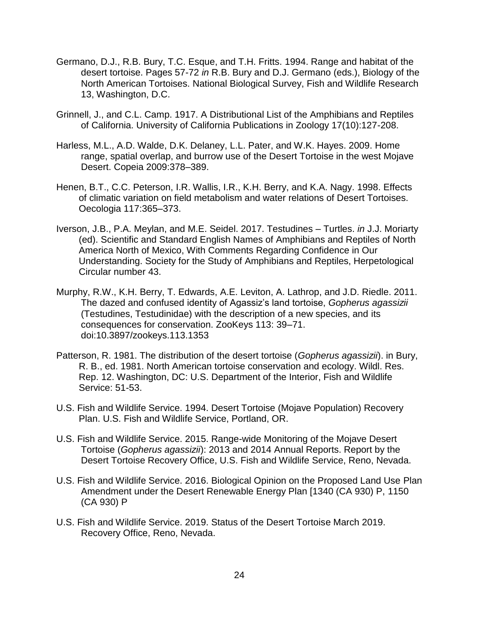- Germano, D.J., R.B. Bury, T.C. Esque, and T.H. Fritts. 1994. Range and habitat of the desert tortoise. Pages 57-72 *in* R.B. Bury and D.J. Germano (eds.), Biology of the North American Tortoises. National Biological Survey, Fish and Wildlife Research 13, Washington, D.C.
- Grinnell, J., and C.L. Camp. 1917. A Distributional List of the Amphibians and Reptiles of California. University of California Publications in Zoology 17(10):127-208.
- Harless, M.L., A.D. Walde, D.K. Delaney, L.L. Pater, and W.K. Hayes. 2009. Home range, spatial overlap, and burrow use of the Desert Tortoise in the west Mojave Desert. Copeia 2009:378–389.
- Henen, B.T., C.C. Peterson, I.R. Wallis, I.R., K.H. Berry, and K.A. Nagy. 1998. Effects of climatic variation on field metabolism and water relations of Desert Tortoises. Oecologia 117:365–373.
- Iverson, J.B., P.A. Meylan, and M.E. Seidel. 2017. Testudines Turtles. *in* J.J. Moriarty (ed). Scientific and Standard English Names of Amphibians and Reptiles of North America North of Mexico, With Comments Regarding Confidence in Our Understanding. Society for the Study of Amphibians and Reptiles, Herpetological Circular number 43.
- Murphy, R.W., K.H. Berry, T. Edwards, A.E. Leviton, A. Lathrop, and J.D. Riedle. 2011. The dazed and confused identity of Agassiz's land tortoise, *Gopherus agassizii* (Testudines, Testudinidae) with the description of a new species, and its consequences for conservation. ZooKeys 113: 39–71. doi:10.3897/zookeys.113.1353
- Patterson, R. 1981. The distribution of the desert tortoise (*Gopherus agassizii*). in Bury, R. B., ed. 1981. North American tortoise conservation and ecology. Wildl. Res. Rep. 12. Washington, DC: U.S. Department of the Interior, Fish and Wildlife Service: 51-53.
- U.S. Fish and Wildlife Service. 1994. Desert Tortoise (Mojave Population) Recovery Plan. U.S. Fish and Wildlife Service, Portland, OR.
- U.S. Fish and Wildlife Service. 2015. Range-wide Monitoring of the Mojave Desert Tortoise (*Gopherus agassizii*): 2013 and 2014 Annual Reports. Report by the Desert Tortoise Recovery Office, U.S. Fish and Wildlife Service, Reno, Nevada.
- U.S. Fish and Wildlife Service. 2016. Biological Opinion on the Proposed Land Use Plan Amendment under the Desert Renewable Energy Plan [1340 (CA 930) P, 1150 (CA 930) P
- U.S. Fish and Wildlife Service. 2019. Status of the Desert Tortoise March 2019. Recovery Office, Reno, Nevada.